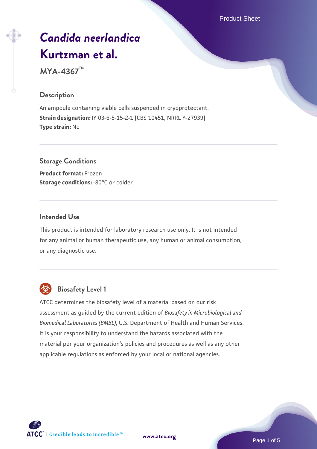Product Sheet

# *[Candida neerlandica](https://www.atcc.org/products/mya-4367)* **[Kurtzman et al.](https://www.atcc.org/products/mya-4367)**

**MYA-4367™**

#### **Description**

An ampoule containing viable cells suspended in cryoprotectant. **Strain designation:** IY 03-6-5-15-2-1 [CBS 10451, NRRL Y-27939] **Type strain:** No

# **Storage Conditions Product format:** Frozen **Storage conditions: -80°C or colder**

#### **Intended Use**

This product is intended for laboratory research use only. It is not intended for any animal or human therapeutic use, any human or animal consumption, or any diagnostic use.



# **Biosafety Level 1**

ATCC determines the biosafety level of a material based on our risk assessment as guided by the current edition of *Biosafety in Microbiological and Biomedical Laboratories (BMBL)*, U.S. Department of Health and Human Services. It is your responsibility to understand the hazards associated with the material per your organization's policies and procedures as well as any other applicable regulations as enforced by your local or national agencies.



**[www.atcc.org](http://www.atcc.org)**

Page 1 of 5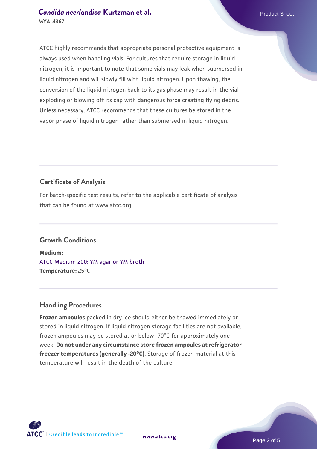### **[Candida neerlandica](https://www.atcc.org/products/mya-4367) [Kurtzman et al.](https://www.atcc.org/products/mya-4367)** Product Sheet **MYA-4367**

ATCC highly recommends that appropriate personal protective equipment is always used when handling vials. For cultures that require storage in liquid nitrogen, it is important to note that some vials may leak when submersed in liquid nitrogen and will slowly fill with liquid nitrogen. Upon thawing, the conversion of the liquid nitrogen back to its gas phase may result in the vial exploding or blowing off its cap with dangerous force creating flying debris. Unless necessary, ATCC recommends that these cultures be stored in the vapor phase of liquid nitrogen rather than submersed in liquid nitrogen.

# **Certificate of Analysis**

For batch-specific test results, refer to the applicable certificate of analysis that can be found at www.atcc.org.

# **Growth Conditions**

**Medium:**  [ATCC Medium 200: YM agar or YM broth](https://www.atcc.org/-/media/product-assets/documents/microbial-media-formulations/2/0/0/atcc-medium-200.pdf?rev=ac40fd74dc13433a809367b0b9da30fc) **Temperature:** 25°C

# **Handling Procedures**

**Frozen ampoules** packed in dry ice should either be thawed immediately or stored in liquid nitrogen. If liquid nitrogen storage facilities are not available, frozen ampoules may be stored at or below -70°C for approximately one week. **Do not under any circumstance store frozen ampoules at refrigerator freezer temperatures (generally -20°C)**. Storage of frozen material at this temperature will result in the death of the culture.

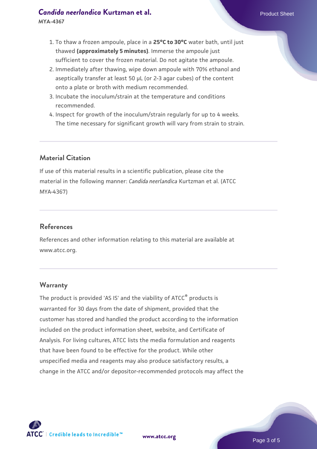# **[Candida neerlandica](https://www.atcc.org/products/mya-4367) [Kurtzman et al.](https://www.atcc.org/products/mya-4367)** Product Sheet

- 1. To thaw a frozen ampoule, place in a **25°C to 30°C** water bath, until just thawed **(approximately 5 minutes)**. Immerse the ampoule just sufficient to cover the frozen material. Do not agitate the ampoule.
- 2. Immediately after thawing, wipe down ampoule with 70% ethanol and aseptically transfer at least 50 µL (or 2-3 agar cubes) of the content onto a plate or broth with medium recommended.
- 3. Incubate the inoculum/strain at the temperature and conditions recommended.
- 4. Inspect for growth of the inoculum/strain regularly for up to 4 weeks. The time necessary for significant growth will vary from strain to strain.

# **Material Citation**

If use of this material results in a scientific publication, please cite the material in the following manner: *Candida neerlandica* Kurtzman et al. (ATCC MYA-4367)

# **References**

References and other information relating to this material are available at www.atcc.org.

# **Warranty**

The product is provided 'AS IS' and the viability of ATCC<sup>®</sup> products is warranted for 30 days from the date of shipment, provided that the customer has stored and handled the product according to the information included on the product information sheet, website, and Certificate of Analysis. For living cultures, ATCC lists the media formulation and reagents that have been found to be effective for the product. While other unspecified media and reagents may also produce satisfactory results, a change in the ATCC and/or depositor-recommended protocols may affect the



**[www.atcc.org](http://www.atcc.org)**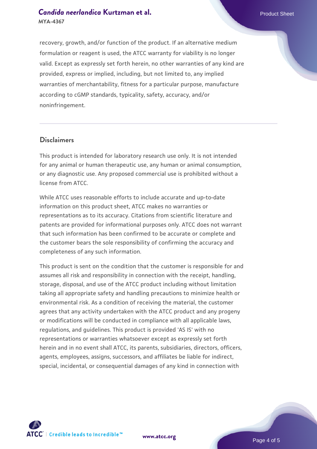# **[Candida neerlandica](https://www.atcc.org/products/mya-4367) [Kurtzman et al.](https://www.atcc.org/products/mya-4367)** Product Sheet **MYA-4367**

recovery, growth, and/or function of the product. If an alternative medium formulation or reagent is used, the ATCC warranty for viability is no longer valid. Except as expressly set forth herein, no other warranties of any kind are provided, express or implied, including, but not limited to, any implied warranties of merchantability, fitness for a particular purpose, manufacture according to cGMP standards, typicality, safety, accuracy, and/or noninfringement.

#### **Disclaimers**

This product is intended for laboratory research use only. It is not intended for any animal or human therapeutic use, any human or animal consumption, or any diagnostic use. Any proposed commercial use is prohibited without a license from ATCC.

While ATCC uses reasonable efforts to include accurate and up-to-date information on this product sheet, ATCC makes no warranties or representations as to its accuracy. Citations from scientific literature and patents are provided for informational purposes only. ATCC does not warrant that such information has been confirmed to be accurate or complete and the customer bears the sole responsibility of confirming the accuracy and completeness of any such information.

This product is sent on the condition that the customer is responsible for and assumes all risk and responsibility in connection with the receipt, handling, storage, disposal, and use of the ATCC product including without limitation taking all appropriate safety and handling precautions to minimize health or environmental risk. As a condition of receiving the material, the customer agrees that any activity undertaken with the ATCC product and any progeny or modifications will be conducted in compliance with all applicable laws, regulations, and guidelines. This product is provided 'AS IS' with no representations or warranties whatsoever except as expressly set forth herein and in no event shall ATCC, its parents, subsidiaries, directors, officers, agents, employees, assigns, successors, and affiliates be liable for indirect, special, incidental, or consequential damages of any kind in connection with